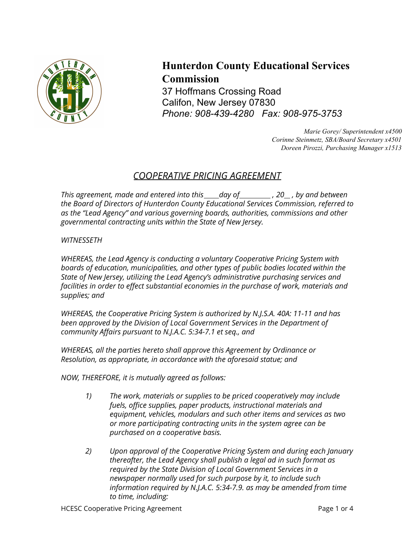

## **Hunterdon County Educational Services Commission**

37 Hoffmans Crossing Road Califon, New Jersey 07830 *Phone: 908-439-4280 Fax: 908-975-3753*

> *Marie Gorey/ Superintendent x4500 Corinne Steinmetz, SBA/Board Secretary x4501 Doreen Pirozzi, Purchasing Manager x1513*

## *COOPERATIVE PRICING AGREEMENT*

*This agreement, made and entered into this day of , 20 , by and between the Board of Directors of Hunterdon County Educational Services Commission, referred to as the "Lead Agency" and various governing boards, authorities, commissions and other governmental contracting units within the State of New Jersey.*

## *WITNESSETH*

*WHEREAS, the Lead Agency is conducting a voluntary Cooperative Pricing System with boards of education, municipalities, and other types of public bodies located within the State of New Jersey, utilizing the Lead Agency's administrative purchasing services and facilities in order to effect substantial economies in the purchase of work, materials and supplies; and*

*WHEREAS, the Cooperative Pricing System is authorized by N.J.S.A. 40A: 11-11 and has been approved by the Division of Local Government Services in the Department of community Affairs pursuant to N.J.A.C. 5:34-7.1 et seq., and*

*WHEREAS, all the parties hereto shall approve this Agreement by Ordinance or Resolution, as appropriate, in accordance with the aforesaid statue; and*

*NOW, THEREFORE, it is mutually agreed as follows:*

- *1) The work, materials or supplies to be priced cooperatively may include fuels, office supplies, paper products, instructional materials and equipment, vehicles, modulars and such other items and services as two or more participating contracting units in the system agree can be purchased on a cooperative basis.*
- *2) Upon approval of the Cooperative Pricing System and during each January thereafter, the Lead Agency shall publish a legal ad in such format as required by the State Division of Local Government Services in a newspaper normally used for such purpose by it, to include such information required by N.J.A.C. 5:34-7.9. as may be amended from time to time, including:*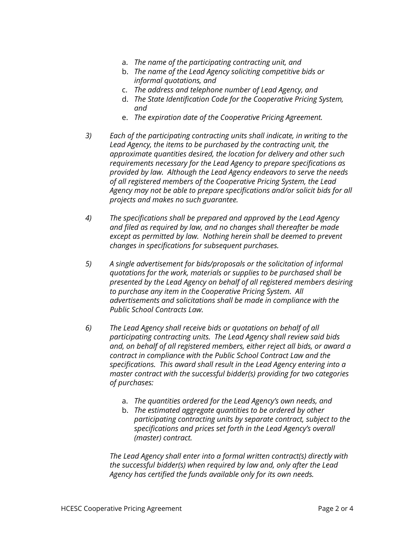- a. *The name of the participating contracting unit, and*
- b. *The name of the Lead Agency soliciting competitive bids or informal quotations, and*
- c. *The address and telephone number of Lead Agency, and*
- d. *The State Identification Code for the Cooperative Pricing System, and*
- e. *The expiration date of the Cooperative Pricing Agreement.*
- *3) Each of the participating contracting units shall indicate, in writing to the Lead Agency, the items to be purchased by the contracting unit, the approximate quantities desired, the location for delivery and other such requirements necessary for the Lead Agency to prepare specifications as provided by law. Although the Lead Agency endeavors to serve the needs of all registered members of the Cooperative Pricing System, the Lead Agency may not be able to prepare specifications and/or solicit bids for all projects and makes no such guarantee.*
- *4) The specifications shall be prepared and approved by the Lead Agency and filed as required by law, and no changes shall thereafter be made except as permitted by law. Nothing herein shall be deemed to prevent changes in specifications for subsequent purchases.*
- *5) A single advertisement for bids/proposals or the solicitation of informal quotations for the work, materials or supplies to be purchased shall be presented by the Lead Agency on behalf of all registered members desiring to purchase any item in the Cooperative Pricing System. All advertisements and solicitations shall be made in compliance with the Public School Contracts Law.*
- *6) The Lead Agency shall receive bids or quotations on behalf of all participating contracting units. The Lead Agency shall review said bids and, on behalf of all registered members, either reject all bids, or award a contract in compliance with the Public School Contract Law and the specifications. This award shall result in the Lead Agency entering into a master contract with the successful bidder(s) providing for two categories of purchases:*
	- a. *The quantities ordered for the Lead Agency's own needs, and*
	- b. *The estimated aggregate quantities to be ordered by other participating contracting units by separate contract, subject to the specifications and prices set forth in the Lead Agency's overall (master) contract.*

*The Lead Agency shall enter into a formal written contract(s) directly with the successful bidder(s) when required by law and, only after the Lead Agency has certified the funds available only for its own needs.*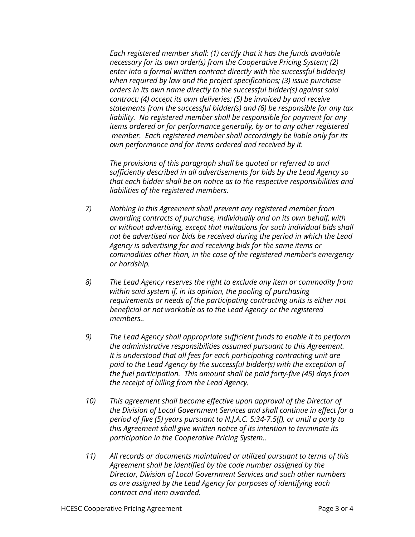*Each registered member shall: (1) certify that it has the funds available necessary for its own order(s) from the Cooperative Pricing System; (2) enter into a formal written contract directly with the successful bidder(s) when required by law and the project specifications; (3) issue purchase orders in its own name directly to the successful bidder(s) against said contract; (4) accept its own deliveries; (5) be invoiced by and receive statements from the successful bidder(s) and (6) be responsible for any tax liability. No registered member shall be responsible for payment for any items ordered or for performance generally, by or to any other registered member. Each registered member shall accordingly be liable only for its own performance and for items ordered and received by it.*

*The provisions of this paragraph shall be quoted or referred to and sufficiently described in all advertisements for bids by the Lead Agency so that each bidder shall be on notice as to the respective responsibilities and liabilities of the registered members.*

- *7) Nothing in this Agreement shall prevent any registered member from awarding contracts of purchase, individually and on its own behalf, with or without advertising, except that invitations for such individual bids shall not be advertised nor bids be received during the period in which the Lead Agency is advertising for and receiving bids for the same items or commodities other than, in the case of the registered member's emergency or hardship.*
- *8) The Lead Agency reserves the right to exclude any item or commodity from within said system if, in its opinion, the pooling of purchasing requirements or needs of the participating contracting units is either not beneficial or not workable as to the Lead Agency or the registered members..*
- *9) The Lead Agency shall appropriate sufficient funds to enable it to perform the administrative responsibilities assumed pursuant to this Agreement. It is understood that all fees for each participating contracting unit are paid to the Lead Agency by the successful bidder(s) with the exception of the fuel participation. This amount shall be paid forty-five (45) days from the receipt of billing from the Lead Agency.*
- *10) This agreement shall become effective upon approval of the Director of the Division of Local Government Services and shall continue in effect for a period of five (5) years pursuant to N.J.A.C. 5:34-7.5(f), or until a party to this Agreement shall give written notice of its intention to terminate its participation in the Cooperative Pricing System..*
- *11) All records or documents maintained or utilized pursuant to terms of this Agreement shall be identified by the code number assigned by the Director, Division of Local Government Services and such other numbers as are assigned by the Lead Agency for purposes of identifying each contract and item awarded.*